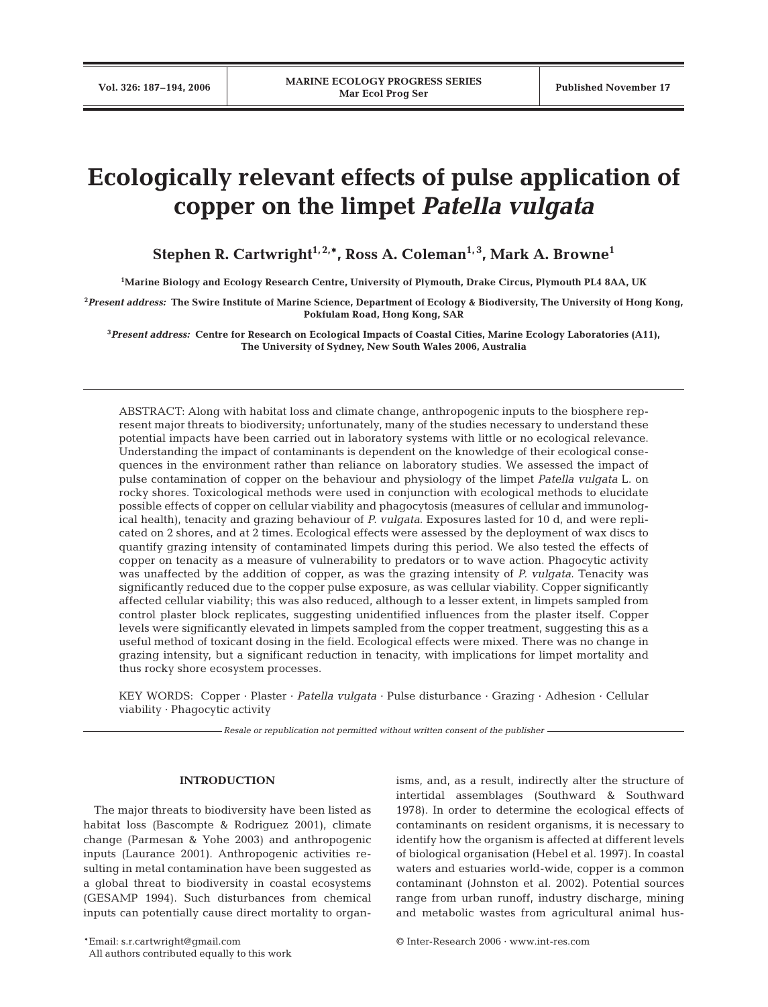# **Ecologically relevant effects of pulse application of copper on the limpet** *Patella vulgata*

Stephen R. Cartwright<sup>1, 2,\*</sup>, Ross A. Coleman<sup>1, 3</sup>, Mark A. Browne<sup>1</sup>

**1 Marine Biology and Ecology Research Centre, University of Plymouth, Drake Circus, Plymouth PL4 8AA, UK**

**2** *Present address:* **The Swire Institute of Marine Science, Department of Ecology & Biodiversity, The University of Hong Kong, Pokfulam Road, Hong Kong, SAR**

**3** *Present address:* **Centre for Research on Ecological Impacts of Coastal Cities, Marine Ecology Laboratories (A11), The University of Sydney, New South Wales 2006, Australia**

ABSTRACT: Along with habitat loss and climate change, anthropogenic inputs to the biosphere represent major threats to biodiversity; unfortunately, many of the studies necessary to understand these potential impacts have been carried out in laboratory systems with little or no ecological relevance. Understanding the impact of contaminants is dependent on the knowledge of their ecological consequences in the environment rather than reliance on laboratory studies. We assessed the impact of pulse contamination of copper on the behaviour and physiology of the limpet *Patella vulgata* L. on rocky shores. Toxicological methods were used in conjunction with ecological methods to elucidate possible effects of copper on cellular viability and phagocytosis (measures of cellular and immunological health), tenacity and grazing behaviour of *P. vulgata*. Exposures lasted for 10 d, and were replicated on 2 shores, and at 2 times. Ecological effects were assessed by the deployment of wax discs to quantify grazing intensity of contaminated limpets during this period. We also tested the effects of copper on tenacity as a measure of vulnerability to predators or to wave action. Phagocytic activity was unaffected by the addition of copper, as was the grazing intensity of *P. vulgata*. Tenacity was significantly reduced due to the copper pulse exposure, as was cellular viability. Copper significantly affected cellular viability; this was also reduced, although to a lesser extent, in limpets sampled from control plaster block replicates, suggesting unidentified influences from the plaster itself. Copper levels were significantly elevated in limpets sampled from the copper treatment, suggesting this as a useful method of toxicant dosing in the field. Ecological effects were mixed. There was no change in grazing intensity, but a significant reduction in tenacity, with implications for limpet mortality and thus rocky shore ecosystem processes.

KEY WORDS: Copper · Plaster · *Patella vulgata* · Pulse disturbance · Grazing · Adhesion · Cellular viability · Phagocytic activity

*Resale or republication not permitted without written consent of the publisher*

## **INTRODUCTION**

The major threats to biodiversity have been listed as habitat loss (Bascompte & Rodriguez 2001), climate change (Parmesan & Yohe 2003) and anthropogenic inputs (Laurance 2001). Anthropogenic activities resulting in metal contamination have been suggested as a global threat to biodiversity in coastal ecosystems (GESAMP 1994). Such disturbances from chemical inputs can potentially cause direct mortality to organisms, and, as a result, indirectly alter the structure of intertidal assemblages (Southward & Southward 1978). In order to determine the ecological effects of contaminants on resident organisms, it is necessary to identify how the organism is affected at different levels of biological organisation (Hebel et al. 1997). In coastal waters and estuaries world-wide, copper is a common contaminant (Johnston et al. 2002). Potential sources range from urban runoff, industry discharge, mining and metabolic wastes from agricultural animal hus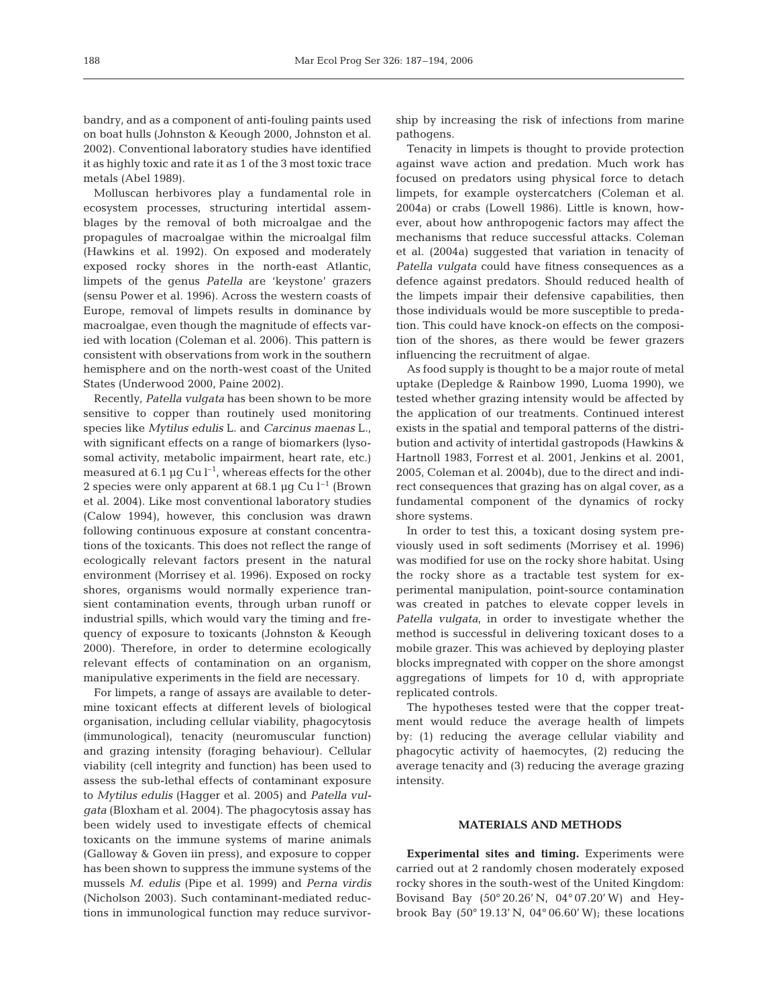bandry, and as a component of anti-fouling paints used on boat hulls (Johnston & Keough 2000, Johnston et al. 2002). Conventional laboratory studies have identified it as highly toxic and rate it as 1 of the 3 most toxic trace metals (Abel 1989).

Molluscan herbivores play a fundamental role in ecosystem processes, structuring intertidal assemblages by the removal of both microalgae and the propagules of macroalgae within the microalgal film (Hawkins et al. 1992). On exposed and moderately exposed rocky shores in the north-east Atlantic, limpets of the genus *Patella* are 'keystone' grazers (sensu Power et al. 1996). Across the western coasts of Europe, removal of limpets results in dominance by macroalgae, even though the magnitude of effects varied with location (Coleman et al. 2006). This pattern is consistent with observations from work in the southern hemisphere and on the north-west coast of the United States (Underwood 2000, Paine 2002).

Recently, *Patella vulgata* has been shown to be more sensitive to copper than routinely used monitoring species like *Mytilus edulis* L. and *Carcinus maenas* L., with significant effects on a range of biomarkers (lysosomal activity, metabolic impairment, heart rate, etc.) measured at 6.1  $\mu$ g Cu l<sup>-1</sup>, whereas effects for the other 2 species were only apparent at 68.1  $\mu$ g Cu l<sup>-1</sup> (Brown et al. 2004). Like most conventional laboratory studies (Calow 1994), however, this conclusion was drawn following continuous exposure at constant concentrations of the toxicants. This does not reflect the range of ecologically relevant factors present in the natural environment (Morrisey et al. 1996). Exposed on rocky shores, organisms would normally experience transient contamination events, through urban runoff or industrial spills, which would vary the timing and frequency of exposure to toxicants (Johnston & Keough 2000). Therefore, in order to determine ecologically relevant effects of contamination on an organism, manipulative experiments in the field are necessary.

For limpets, a range of assays are available to determine toxicant effects at different levels of biological organisation, including cellular viability, phagocytosis (immunological), tenacity (neuromuscular function) and grazing intensity (foraging behaviour). Cellular viability (cell integrity and function) has been used to assess the sub-lethal effects of contaminant exposure to *Mytilus edulis* (Hagger et al. 2005) and *Patella vulgata* (Bloxham et al. 2004). The phagocytosis assay has been widely used to investigate effects of chemical toxicants on the immune systems of marine animals (Galloway & Goven iin press), and exposure to copper has been shown to suppress the immune systems of the mussels *M. edulis* (Pipe et al. 1999) and *Perna virdis* (Nicholson 2003). Such contaminant-mediated reductions in immunological function may reduce survivorship by increasing the risk of infections from marine pathogens.

Tenacity in limpets is thought to provide protection against wave action and predation. Much work has focused on predators using physical force to detach limpets, for example oystercatchers (Coleman et al. 2004a) or crabs (Lowell 1986). Little is known, however, about how anthropogenic factors may affect the mechanisms that reduce successful attacks. Coleman et al. (2004a) suggested that variation in tenacity of *Patella vulgata* could have fitness consequences as a defence against predators. Should reduced health of the limpets impair their defensive capabilities, then those individuals would be more susceptible to predation. This could have knock-on effects on the composition of the shores, as there would be fewer grazers influencing the recruitment of algae.

As food supply is thought to be a major route of metal uptake (Depledge & Rainbow 1990, Luoma 1990), we tested whether grazing intensity would be affected by the application of our treatments. Continued interest exists in the spatial and temporal patterns of the distribution and activity of intertidal gastropods (Hawkins & Hartnoll 1983, Forrest et al. 2001, Jenkins et al. 2001, 2005, Coleman et al. 2004b), due to the direct and indirect consequences that grazing has on algal cover, as a fundamental component of the dynamics of rocky shore systems.

In order to test this, a toxicant dosing system previously used in soft sediments (Morrisey et al. 1996) was modified for use on the rocky shore habitat. Using the rocky shore as a tractable test system for experimental manipulation, point-source contamination was created in patches to elevate copper levels in *Patella vulgata*, in order to investigate whether the method is successful in delivering toxicant doses to a mobile grazer. This was achieved by deploying plaster blocks impregnated with copper on the shore amongst aggregations of limpets for 10 d, with appropriate replicated controls.

The hypotheses tested were that the copper treatment would reduce the average health of limpets by: (1) reducing the average cellular viability and phagocytic activity of haemocytes, (2) reducing the average tenacity and (3) reducing the average grazing intensity.

## **MATERIALS AND METHODS**

**Experimental sites and timing.** Experiments were carried out at 2 randomly chosen moderately exposed rocky shores in the south-west of the United Kingdom: Bovisand Bay (50° 20.26' N, 04° 07.20' W) and Heybrook Bay (50° 19.13' N, 04° 06.60' W); these locations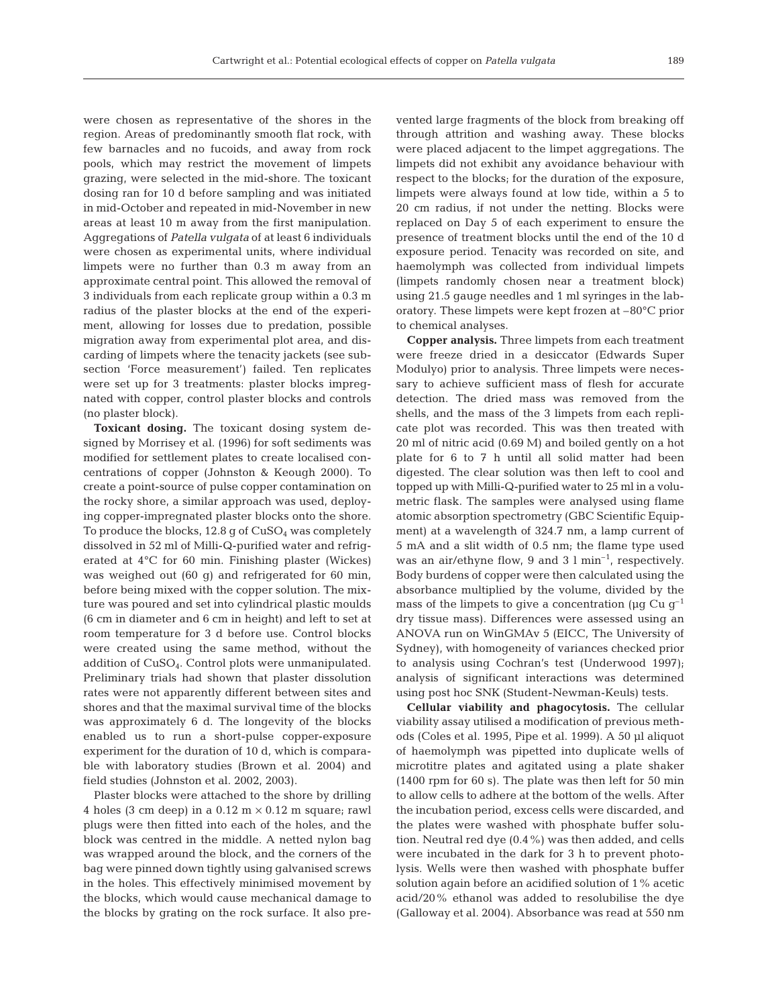were chosen as representative of the shores in the region. Areas of predominantly smooth flat rock, with few barnacles and no fucoids, and away from rock pools, which may restrict the movement of limpets grazing, were selected in the mid-shore. The toxicant dosing ran for 10 d before sampling and was initiated in mid-October and repeated in mid-November in new areas at least 10 m away from the first manipulation. Aggregations of *Patella vulgata* of at least 6 individuals were chosen as experimental units, where individual limpets were no further than 0.3 m away from an approximate central point. This allowed the removal of 3 individuals from each replicate group within a 0.3 m radius of the plaster blocks at the end of the experiment, allowing for losses due to predation, possible migration away from experimental plot area, and discarding of limpets where the tenacity jackets (see subsection 'Force measurement') failed. Ten replicates were set up for 3 treatments: plaster blocks impregnated with copper, control plaster blocks and controls (no plaster block).

**Toxicant dosing.** The toxicant dosing system designed by Morrisey et al. (1996) for soft sediments was modified for settlement plates to create localised concentrations of copper (Johnston & Keough 2000). To create a point-source of pulse copper contamination on the rocky shore, a similar approach was used, deploying copper-impregnated plaster blocks onto the shore. To produce the blocks,  $12.8$  g of  $CuSO<sub>4</sub>$  was completely dissolved in 52 ml of Milli-Q-purified water and refrigerated at 4°C for 60 min. Finishing plaster (Wickes) was weighed out (60 g) and refrigerated for 60 min, before being mixed with the copper solution. The mixture was poured and set into cylindrical plastic moulds (6 cm in diameter and 6 cm in height) and left to set at room temperature for 3 d before use. Control blocks were created using the same method, without the addition of CuSO4. Control plots were unmanipulated. Preliminary trials had shown that plaster dissolution rates were not apparently different between sites and shores and that the maximal survival time of the blocks was approximately 6 d. The longevity of the blocks enabled us to run a short-pulse copper-exposure experiment for the duration of 10 d, which is comparable with laboratory studies (Brown et al. 2004) and field studies (Johnston et al. 2002, 2003).

Plaster blocks were attached to the shore by drilling 4 holes (3 cm deep) in a  $0.12 \text{ m} \times 0.12 \text{ m}$  square; rawl plugs were then fitted into each of the holes, and the block was centred in the middle. A netted nylon bag was wrapped around the block, and the corners of the bag were pinned down tightly using galvanised screws in the holes. This effectively minimised movement by the blocks, which would cause mechanical damage to the blocks by grating on the rock surface. It also prevented large fragments of the block from breaking off through attrition and washing away. These blocks were placed adjacent to the limpet aggregations. The limpets did not exhibit any avoidance behaviour with respect to the blocks; for the duration of the exposure, limpets were always found at low tide, within a 5 to 20 cm radius, if not under the netting. Blocks were replaced on Day 5 of each experiment to ensure the presence of treatment blocks until the end of the 10 d exposure period. Tenacity was recorded on site, and haemolymph was collected from individual limpets (limpets randomly chosen near a treatment block) using 21.5 gauge needles and 1 ml syringes in the laboratory. These limpets were kept frozen at –80°C prior to chemical analyses.

**Copper analysis.** Three limpets from each treatment were freeze dried in a desiccator (Edwards Super Modulyo) prior to analysis. Three limpets were necessary to achieve sufficient mass of flesh for accurate detection. The dried mass was removed from the shells, and the mass of the 3 limpets from each replicate plot was recorded. This was then treated with 20 ml of nitric acid (0.69 M) and boiled gently on a hot plate for 6 to 7 h until all solid matter had been digested. The clear solution was then left to cool and topped up with Milli-Q-purified water to 25 ml in a volumetric flask. The samples were analysed using flame atomic absorption spectrometry (GBC Scientific Equipment) at a wavelength of 324.7 nm, a lamp current of 5 mA and a slit width of 0.5 nm; the flame type used was an air/ethyne flow, 9 and 3  $1 \text{ min}^{-1}$ , respectively. Body burdens of copper were then calculated using the absorbance multiplied by the volume, divided by the mass of the limpets to give a concentration ( $\mu$ g Cu g<sup>-1</sup>) dry tissue mass). Differences were assessed using an ANOVA run on WinGMAv 5 (EICC, The University of Sydney), with homogeneity of variances checked prior to analysis using Cochran's test (Underwood 1997); analysis of significant interactions was determined using post hoc SNK (Student-Newman-Keuls) tests.

**Cellular viability and phagocytosis.** The cellular viability assay utilised a modification of previous methods (Coles et al. 1995, Pipe et al. 1999). A 50 µl aliquot of haemolymph was pipetted into duplicate wells of microtitre plates and agitated using a plate shaker (1400 rpm for 60 s). The plate was then left for 50 min to allow cells to adhere at the bottom of the wells. After the incubation period, excess cells were discarded, and the plates were washed with phosphate buffer solution. Neutral red dye (0.4%) was then added, and cells were incubated in the dark for 3 h to prevent photolysis. Wells were then washed with phosphate buffer solution again before an acidified solution of 1% acetic acid/20% ethanol was added to resolubilise the dye (Galloway et al. 2004). Absorbance was read at 550 nm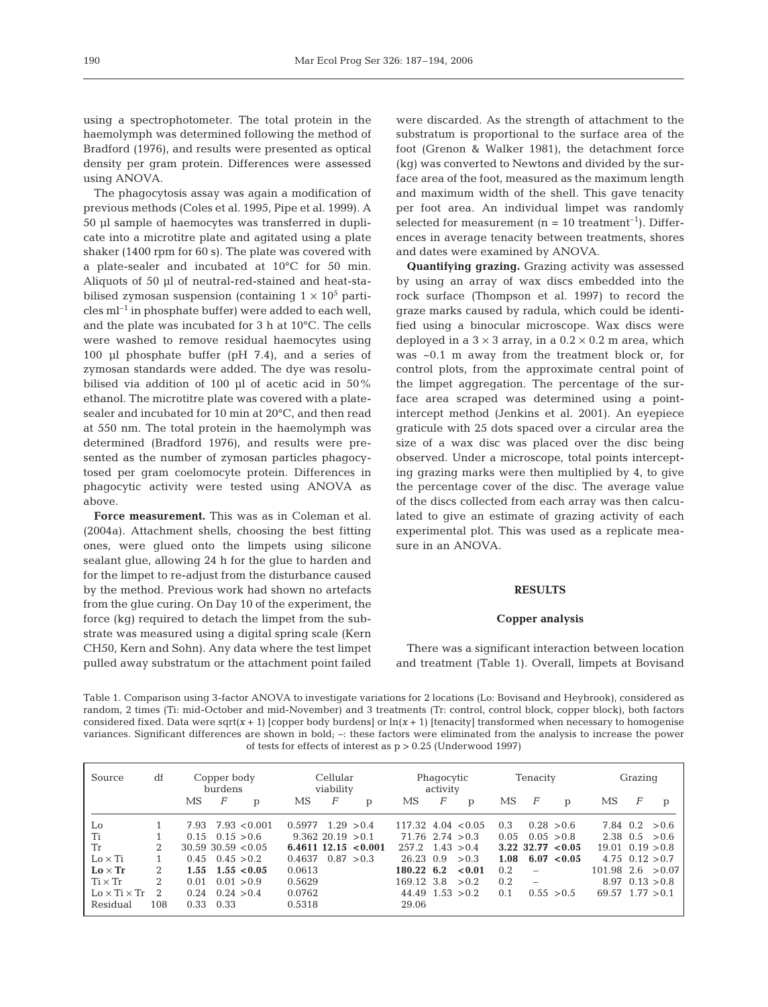using a spectrophotometer. The total protein in the haemolymph was determined following the method of Bradford (1976), and results were presented as optical density per gram protein. Differences were assessed using ANOVA.

The phagocytosis assay was again a modification of previous methods (Coles et al. 1995, Pipe et al. 1999). A 50 µl sample of haemocytes was transferred in duplicate into a microtitre plate and agitated using a plate shaker (1400 rpm for 60 s). The plate was covered with a plate-sealer and incubated at 10°C for 50 min. Aliquots of 50 µl of neutral-red-stained and heat-stabilised zymosan suspension (containing  $1 \times 10^5$  particles  $ml^{-1}$  in phosphate buffer) were added to each well, and the plate was incubated for 3 h at 10°C. The cells were washed to remove residual haemocytes using 100 µl phosphate buffer (pH 7.4), and a series of zymosan standards were added. The dye was resolubilised via addition of 100 µl of acetic acid in 50% ethanol. The microtitre plate was covered with a platesealer and incubated for 10 min at 20°C, and then read at 550 nm. The total protein in the haemolymph was determined (Bradford 1976), and results were presented as the number of zymosan particles phagocytosed per gram coelomocyte protein. Differences in phagocytic activity were tested using ANOVA as above.

**Force measurement.** This was as in Coleman et al. (2004a). Attachment shells, choosing the best fitting ones, were glued onto the limpets using silicone sealant glue, allowing 24 h for the glue to harden and for the limpet to re-adjust from the disturbance caused by the method. Previous work had shown no artefacts from the glue curing. On Day 10 of the experiment, the force (kg) required to detach the limpet from the substrate was measured using a digital spring scale (Kern CH50, Kern and Sohn). Any data where the test limpet pulled away substratum or the attachment point failed were discarded. As the strength of attachment to the substratum is proportional to the surface area of the foot (Grenon & Walker 1981), the detachment force (kg) was converted to Newtons and divided by the surface area of the foot, measured as the maximum length and maximum width of the shell. This gave tenacity per foot area. An individual limpet was randomly selected for measurement ( $n = 10$  treatment<sup>-1</sup>). Differences in average tenacity between treatments, shores and dates were examined by ANOVA.

**Quantifying grazing.** Grazing activity was assessed by using an array of wax discs embedded into the rock surface (Thompson et al. 1997) to record the graze marks caused by radula, which could be identified using a binocular microscope. Wax discs were deployed in a  $3 \times 3$  array, in a  $0.2 \times 0.2$  m area, which was ~0.1 m away from the treatment block or, for control plots, from the approximate central point of the limpet aggregation. The percentage of the surface area scraped was determined using a pointintercept method (Jenkins et al. 2001). An eyepiece graticule with 25 dots spaced over a circular area the size of a wax disc was placed over the disc being observed. Under a microscope, total points intercepting grazing marks were then multiplied by 4, to give the percentage cover of the disc. The average value of the discs collected from each array was then calculated to give an estimate of grazing activity of each experimental plot. This was used as a replicate measure in an ANOVA.

## **RESULTS**

#### **Copper analysis**

There was a significant interaction between location and treatment (Table 1). Overall, limpets at Bovisand

Table 1. Comparison using 3-factor ANOVA to investigate variations for 2 locations (Lo: Bovisand and Heybrook), considered as random, 2 times (Ti: mid-October and mid-November) and 3 treatments (Tr: control, control block, copper block), both factors considered fixed. Data were sqrt $(x + 1)$  [copper body burdens] or  $\ln(x + 1)$  [tenacity] transformed when necessary to homogenise variances. Significant differences are shown in bold;  $-$ : these factors were eliminated from the analysis to increase the power of tests for effects of interest as p > 0.25 (Underwood 1997)

| Source                   | df             | Copper body<br>burdens      |            | Cellular<br>viability |            |                        | Phagocytic<br>activity           |   |              | Tenacity |                          |                         | Grazing                  |   |                         |
|--------------------------|----------------|-----------------------------|------------|-----------------------|------------|------------------------|----------------------------------|---|--------------|----------|--------------------------|-------------------------|--------------------------|---|-------------------------|
|                          |                | MS<br>F                     | p          | MS                    | F          | p                      | MS                               | F | $\mathbf{p}$ | МS       | F                        | p                       | MS                       | F | p                       |
| Lo                       |                | $7.93$ $7.93$ $< 0.001$     |            | 0.5977                | 1.29 > 0.4 |                        | $117.32 \quad 4.04 \quad < 0.05$ |   |              | 0.3      |                          | 0.28 > 0.6              |                          |   | $7.84 \t0.2 > 0.6$      |
| Ti                       |                | 0.15 > 0.6<br>0.15          |            | $9.362$ 20.19 $>0.1$  |            |                        | $71.76$ 2.74 $>0.3$              |   |              | 0.05     |                          | 0.05 > 0.8              |                          |   | $2.38 \t0.5 > 0.6$      |
| Tr                       | 2              | $30.59$ $30.59$ $< 0.05$    |            |                       |            | $6.4611$ 12.15 < 0.001 | $257.2 \quad 1.43 > 0.4$         |   |              |          |                          | $3.22$ $32.77$ < $0.05$ | $19.01 \quad 0.19 > 0.8$ |   |                         |
| $Lo \times Ti$           |                | $0.45 \quad 0.45 > 0.2$     |            | 0.4637                |            | 0.87 > 0.3             | 26.23 0.9                        |   | > 0.3        | 1.08     |                          | 6.07 < 0.05             |                          |   | $4.75 \quad 0.12 > 0.7$ |
| $Lo \times Tr$           | $\mathfrak{D}$ | $1.55 \quad 1.55 \leq 0.05$ |            | 0.0613                |            |                        | 180.22 6.2                       |   | < 0.01       | 0.2      |                          |                         | $101.98$ 2.6 $>0.07$     |   |                         |
| $Ti \times Tr$           | $\mathfrak{D}$ | 0.01                        | 0.01 > 0.9 | 0.5629                |            |                        | 169.12 3.8                       |   | > 0.2        | 0.2      | $\overline{\phantom{0}}$ |                         |                          |   | $8.97 \quad 0.13 > 0.8$ |
| $Lo \times Ti \times Tr$ | $\mathfrak{D}$ | 0.24 > 0.4<br>0.24          |            | 0.0762                |            |                        | $44.49$ $1.53 > 0.2$             |   |              | 0.1      |                          | 0.55 > 0.5              | $69.57$ 1.77 $> 0.1$     |   |                         |
| Residual                 | 108            | 0.33<br>0.33                |            | 0.5318                |            |                        | 29.06                            |   |              |          |                          |                         |                          |   |                         |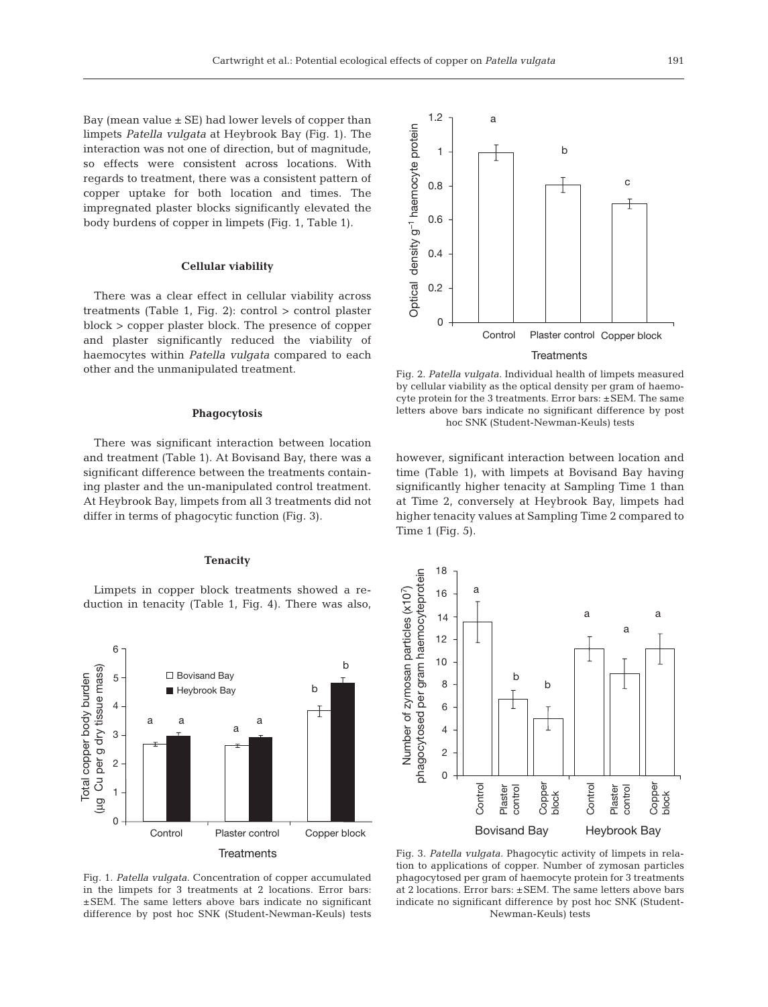Bay (mean value  $\pm$  SE) had lower levels of copper than limpets *Patella vulgata* at Heybrook Bay (Fig. 1). The interaction was not one of direction, but of magnitude, so effects were consistent across locations. With regards to treatment, there was a consistent pattern of copper uptake for both location and times. The impregnated plaster blocks significantly elevated the body burdens of copper in limpets (Fig. 1, Table 1).

## **Cellular viability**

There was a clear effect in cellular viability across treatments (Table 1, Fig. 2): control > control plaster block > copper plaster block. The presence of copper and plaster significantly reduced the viability of haemocytes within *Patella vulgata* compared to each other and the unmanipulated treatment.

### **Phagocytosis**

There was significant interaction between location and treatment (Table 1). At Bovisand Bay, there was a significant difference between the treatments containing plaster and the un-manipulated control treatment. At Heybrook Bay, limpets from all 3 treatments did not differ in terms of phagocytic function (Fig. 3).

#### **Tenacity**

Limpets in copper block treatments showed a reduction in tenacity (Table 1, Fig. 4). There was also,





### **Treatments**

Fig. 2. *Patella vulgata.* Individual health of limpets measured by cellular viability as the optical density per gram of haemocyte protein for the 3 treatments. Error bars: ±SEM. The same letters above bars indicate no significant difference by post hoc SNK (Student-Newman-Keuls) tests

however, significant interaction between location and time (Table 1), with limpets at Bovisand Bay having significantly higher tenacity at Sampling Time 1 than at Time 2, conversely at Heybrook Bay, limpets had higher tenacity values at Sampling Time 2 compared to Time 1 (Fig. 5).

18 phagocytosed per gram haemocyteprotein phagocytosed per gram haemocyteprotein Number of zymosan particles (x107)  $16 \begin{array}{ccc} 1 & a \end{array}$ Number of zymosan particles (x107) a a 14 a 12 10 b 8 b 6 4 2 0 Control Control Plaster Copper Plaster Copper control control block block Bovisand Bay Heybrook Bay

Fig. 1. *Patella vulgata.* Concentration of copper accumulated in the limpets for 3 treatments at 2 locations. Error bars: ±SEM. The same letters above bars indicate no significant difference by post hoc SNK (Student-Newman-Keuls) tests

Fig. 3. *Patella vulgata.* Phagocytic activity of limpets in relation to applications of copper. Number of zymosan particles phagocytosed per gram of haemocyte protein for 3 treatments at 2 locations. Error bars: ±SEM. The same letters above bars indicate no significant difference by post hoc SNK (Student-Newman-Keuls) tests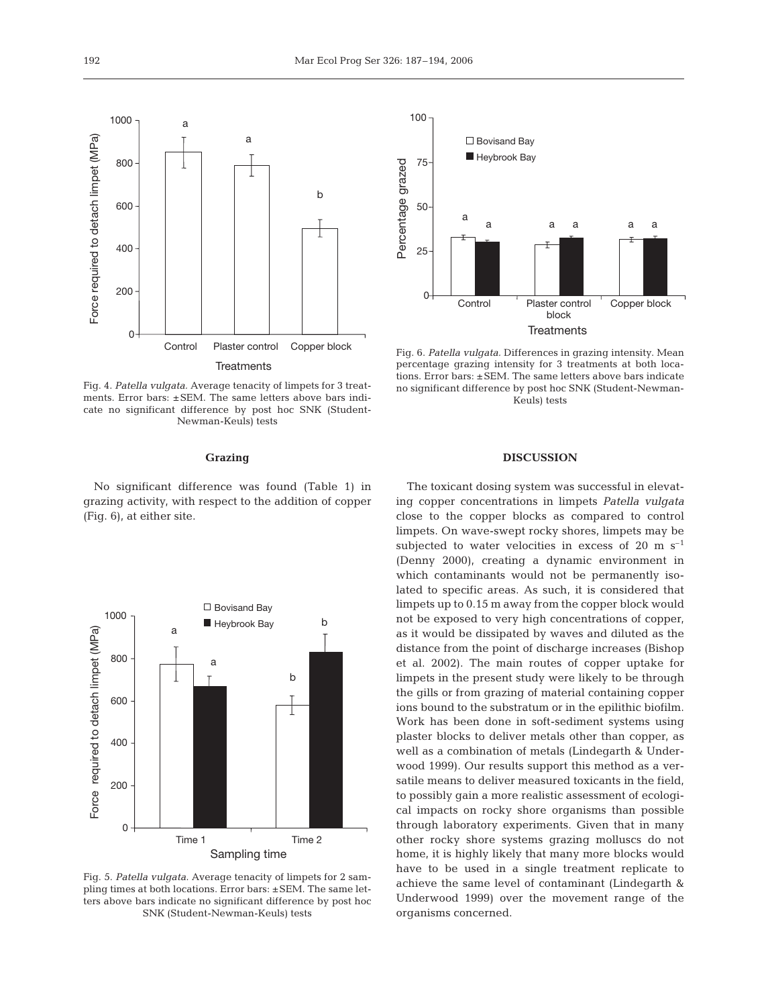Fig. 4. *Patella vulgata.* Average tenacity of limpets for 3 treatments. Error bars: ±SEM. The same letters above bars indicate no significant difference by post hoc SNK (Student-Newman-Keuls) tests

Control Plaster control Copper block

**Treatments** 

a

b

#### **Grazing**

No significant difference was found (Table 1) in grazing activity, with respect to the addition of copper (Fig. 6), at either site.



Fig. 5. *Patella vulgata.* Average tenacity of limpets for 2 sampling times at both locations. Error bars: ±SEM. The same letters above bars indicate no significant difference by post hoc SNK (Student-Newman-Keuls) tests



Fig. 6. *Patella vulgata.* Differences in grazing intensity. Mean percentage grazing intensity for 3 treatments at both locations. Error bars: ±SEM. The same letters above bars indicate no significant difference by post hoc SNK (Student-Newman-Keuls) tests

# **DISCUSSION**

The toxicant dosing system was successful in elevating copper concentrations in limpets *Patella vulgata* close to the copper blocks as compared to control limpets. On wave-swept rocky shores, limpets may be subjected to water velocities in excess of 20 m  $s^{-1}$ (Denny 2000), creating a dynamic environment in which contaminants would not be permanently isolated to specific areas. As such, it is considered that limpets up to 0.15 m away from the copper block would not be exposed to very high concentrations of copper, as it would be dissipated by waves and diluted as the distance from the point of discharge increases (Bishop et al. 2002). The main routes of copper uptake for limpets in the present study were likely to be through the gills or from grazing of material containing copper ions bound to the substratum or in the epilithic biofilm. Work has been done in soft-sediment systems using plaster blocks to deliver metals other than copper, as well as a combination of metals (Lindegarth & Underwood 1999). Our results support this method as a versatile means to deliver measured toxicants in the field, to possibly gain a more realistic assessment of ecological impacts on rocky shore organisms than possible through laboratory experiments. Given that in many other rocky shore systems grazing molluscs do not home, it is highly likely that many more blocks would have to be used in a single treatment replicate to achieve the same level of contaminant (Lindegarth & Underwood 1999) over the movement range of the organisms concerned.

Force required to detach limpet (MPa)

Force required to detach limpet (MPa)

1000 a

800

600

400

200

0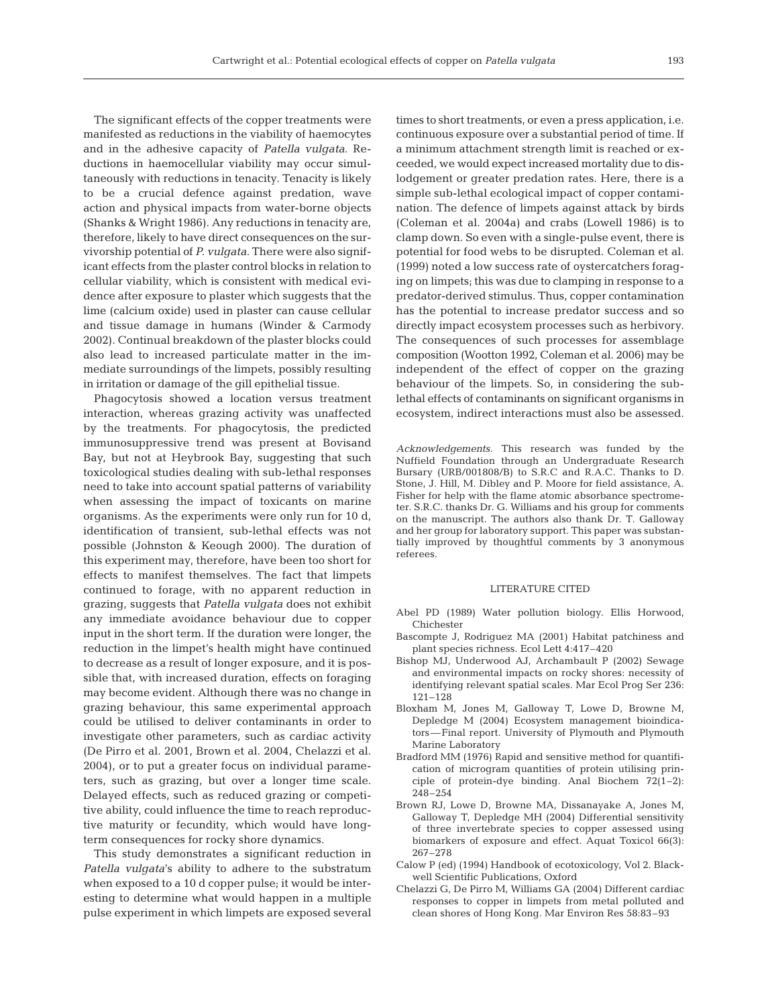The significant effects of the copper treatments were manifested as reductions in the viability of haemocytes and in the adhesive capacity of *Patella vulgata*. Reductions in haemocellular viability may occur simultaneously with reductions in tenacity. Tenacity is likely to be a crucial defence against predation, wave action and physical impacts from water-borne objects (Shanks & Wright 1986). Any reductions in tenacity are, therefore, likely to have direct consequences on the survivorship potential of *P. vulgata.* There were also significant effects from the plaster control blocks in relation to cellular viability, which is consistent with medical evidence after exposure to plaster which suggests that the lime (calcium oxide) used in plaster can cause cellular and tissue damage in humans (Winder & Carmody 2002). Continual breakdown of the plaster blocks could also lead to increased particulate matter in the immediate surroundings of the limpets, possibly resulting in irritation or damage of the gill epithelial tissue.

Phagocytosis showed a location versus treatment interaction, whereas grazing activity was unaffected by the treatments. For phagocytosis, the predicted immunosuppressive trend was present at Bovisand Bay, but not at Heybrook Bay, suggesting that such toxicological studies dealing with sub-lethal responses need to take into account spatial patterns of variability when assessing the impact of toxicants on marine organisms. As the experiments were only run for 10 d, identification of transient, sub-lethal effects was not possible (Johnston & Keough 2000). The duration of this experiment may, therefore, have been too short for effects to manifest themselves. The fact that limpets continued to forage, with no apparent reduction in grazing, suggests that *Patella vulgata* does not exhibit any immediate avoidance behaviour due to copper input in the short term. If the duration were longer, the reduction in the limpet's health might have continued to decrease as a result of longer exposure, and it is possible that, with increased duration, effects on foraging may become evident. Although there was no change in grazing behaviour, this same experimental approach could be utilised to deliver contaminants in order to investigate other parameters, such as cardiac activity (De Pirro et al. 2001, Brown et al. 2004, Chelazzi et al. 2004), or to put a greater focus on individual parameters, such as grazing, but over a longer time scale. Delayed effects, such as reduced grazing or competitive ability, could influence the time to reach reproductive maturity or fecundity, which would have longterm consequences for rocky shore dynamics.

This study demonstrates a significant reduction in *Patella vulgata*'s ability to adhere to the substratum when exposed to a 10 d copper pulse; it would be interesting to determine what would happen in a multiple pulse experiment in which limpets are exposed several times to short treatments, or even a press application, i.e. continuous exposure over a substantial period of time. If a minimum attachment strength limit is reached or exceeded, we would expect increased mortality due to dislodgement or greater predation rates. Here, there is a simple sub-lethal ecological impact of copper contamination. The defence of limpets against attack by birds (Coleman et al. 2004a) and crabs (Lowell 1986) is to clamp down. So even with a single-pulse event, there is potential for food webs to be disrupted. Coleman et al. (1999) noted a low success rate of oystercatchers foraging on limpets; this was due to clamping in response to a predator-derived stimulus. Thus, copper contamination has the potential to increase predator success and so directly impact ecosystem processes such as herbivory. The consequences of such processes for assemblage composition (Wootton 1992, Coleman et al. 2006) may be independent of the effect of copper on the grazing behaviour of the limpets. So, in considering the sublethal effects of contaminants on significant organisms in ecosystem, indirect interactions must also be assessed.

*Acknowledgements.* This research was funded by the Nuffield Foundation through an Undergraduate Research Bursary (URB/001808/B) to S.R.C and R.A.C. Thanks to D. Stone, J. Hill, M. Dibley and P. Moore for field assistance, A. Fisher for help with the flame atomic absorbance spectrometer. S.R.C. thanks Dr. G. Williams and his group for comments on the manuscript. The authors also thank Dr. T. Galloway and her group for laboratory support. This paper was substantially improved by thoughtful comments by 3 anonymous referees.

# LITERATURE CITED

- Abel PD (1989) Water pollution biology. Ellis Horwood, Chichester
- Bascompte J, Rodriguez MA (2001) Habitat patchiness and plant species richness. Ecol Lett 4:417–420
- Bishop MJ, Underwood AJ, Archambault P (2002) Sewage and environmental impacts on rocky shores: necessity of identifying relevant spatial scales. Mar Ecol Prog Ser 236: 121–128
- Bloxham M, Jones M, Galloway T, Lowe D, Browne M, Depledge M (2004) Ecosystem management bioindicators—Final report. University of Plymouth and Plymouth Marine Laboratory
- Bradford MM (1976) Rapid and sensitive method for quantification of microgram quantities of protein utilising principle of protein-dye binding. Anal Biochem 72(1–2): 248–254
- Brown RJ, Lowe D, Browne MA, Dissanayake A, Jones M, Galloway T, Depledge MH (2004) Differential sensitivity of three invertebrate species to copper assessed using biomarkers of exposure and effect. Aquat Toxicol 66(3): 267–278
- Calow P (ed) (1994) Handbook of ecotoxicology, Vol 2. Blackwell Scientific Publications, Oxford
- Chelazzi G, De Pirro M, Williams GA (2004) Different cardiac responses to copper in limpets from metal polluted and clean shores of Hong Kong. Mar Environ Res 58:83–93